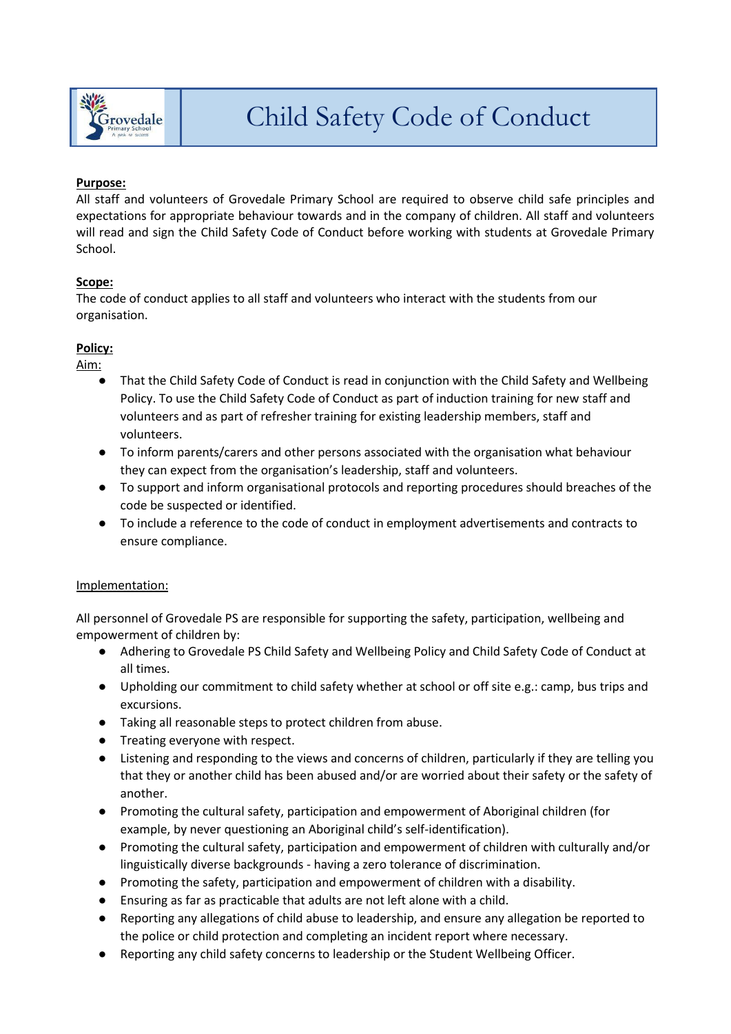

## **Purpose:**

All staff and volunteers of Grovedale Primary School are required to observe child safe principles and expectations for appropriate behaviour towards and in the company of children. All staff and volunteers will read and sign the Child Safety Code of Conduct before working with students at Grovedale Primary School.

## **Scope:**

The code of conduct applies to all staff and volunteers who interact with the students from our organisation.

## **Policy:**

Aim:

- That the Child Safety Code of Conduct is read in conjunction with the Child Safety and Wellbeing Policy. To use the Child Safety Code of Conduct as part of induction training for new staff and volunteers and as part of refresher training for existing leadership members, staff and volunteers.
- To inform parents/carers and other persons associated with the organisation what behaviour they can expect from the organisation's leadership, staff and volunteers.
- To support and inform organisational protocols and reporting procedures should breaches of the code be suspected or identified.
- To include a reference to the code of conduct in employment advertisements and contracts to ensure compliance.

## Implementation:

All personnel of Grovedale PS are responsible for supporting the safety, participation, wellbeing and empowerment of children by:

- Adhering to Grovedale PS Child Safety and Wellbeing Policy and Child Safety Code of Conduct at all times.
- Upholding our commitment to child safety whether at school or off site e.g.: camp, bus trips and excursions.
- Taking all reasonable steps to protect children from abuse.
- Treating everyone with respect.
- Listening and responding to the views and concerns of children, particularly if they are telling you that they or another child has been abused and/or are worried about their safety or the safety of another.
- Promoting the cultural safety, participation and empowerment of Aboriginal children (for example, by never questioning an Aboriginal child's self-identification).
- Promoting the cultural safety, participation and empowerment of children with culturally and/or linguistically diverse backgrounds - having a zero tolerance of discrimination.
- Promoting the safety, participation and empowerment of children with a disability.
- Ensuring as far as practicable that adults are not left alone with a child.
- Reporting any allegations of child abuse to leadership, and ensure any allegation be reported to the police or child protection and completing an incident report where necessary.
- Reporting any child safety concerns to leadership or the Student Wellbeing Officer.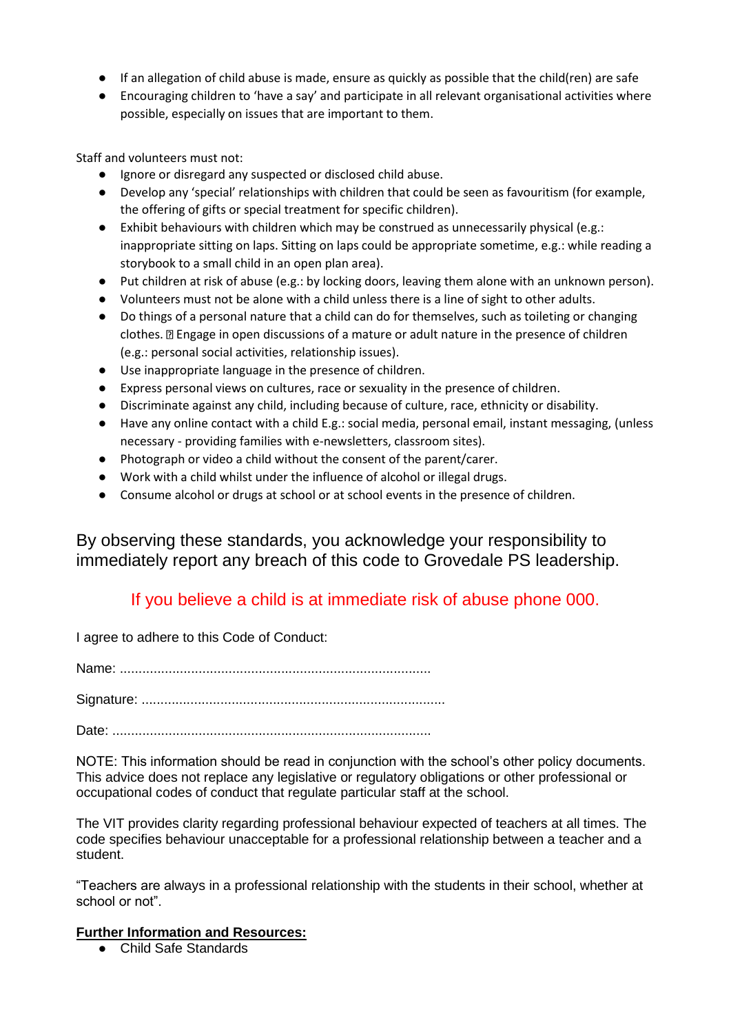- If an allegation of child abuse is made, ensure as quickly as possible that the child(ren) are safe
- Encouraging children to 'have a say' and participate in all relevant organisational activities where possible, especially on issues that are important to them.

Staff and volunteers must not:

- Ignore or disregard any suspected or disclosed child abuse.
- Develop any 'special' relationships with children that could be seen as favouritism (for example, the offering of gifts or special treatment for specific children).
- Exhibit behaviours with children which may be construed as unnecessarily physical (e.g.: inappropriate sitting on laps. Sitting on laps could be appropriate sometime, e.g.: while reading a storybook to a small child in an open plan area).
- Put children at risk of abuse (e.g.: by locking doors, leaving them alone with an unknown person).
- Volunteers must not be alone with a child unless there is a line of sight to other adults.
- Do things of a personal nature that a child can do for themselves, such as toileting or changing clothes.  $\mathbb D$  Engage in open discussions of a mature or adult nature in the presence of children (e.g.: personal social activities, relationship issues).
- Use inappropriate language in the presence of children.
- Express personal views on cultures, race or sexuality in the presence of children.
- Discriminate against any child, including because of culture, race, ethnicity or disability.
- Have any online contact with a child E.g.: social media, personal email, instant messaging, (unless necessary - providing families with e-newsletters, classroom sites).
- Photograph or video a child without the consent of the parent/carer.
- Work with a child whilst under the influence of alcohol or illegal drugs.
- Consume alcohol or drugs at school or at school events in the presence of children.

By observing these standards, you acknowledge your responsibility to immediately report any breach of this code to Grovedale PS leadership.

# If you believe a child is at immediate risk of abuse phone 000.

I agree to adhere to this Code of Conduct:

Name: ...................................................................................

Signature: .................................................................................

Date: .....................................................................................

NOTE: This information should be read in conjunction with the school's other policy documents. This advice does not replace any legislative or regulatory obligations or other professional or occupational codes of conduct that regulate particular staff at the school.

The VIT provides clarity regarding professional behaviour expected of teachers at all times. The code specifies behaviour unacceptable for a professional relationship between a teacher and a student.

"Teachers are always in a professional relationship with the students in their school, whether at school or not".

## **Further Information and Resources:**

● Child Safe Standards